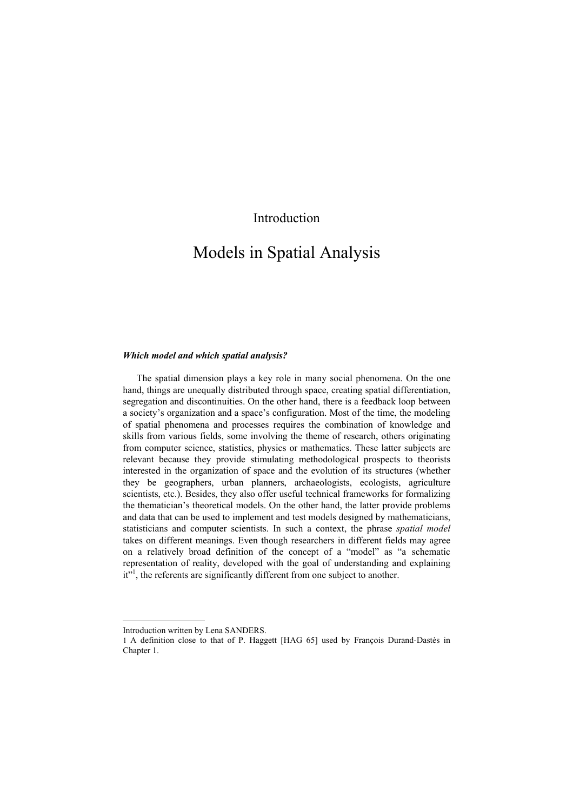Introduction

# Models in Spatial Analysis

## *Which model and which spatial analysis?*

The spatial dimension plays a key role in many social phenomena. On the one hand, things are unequally distributed through space, creating spatial differentiation, segregation and discontinuities. On the other hand, there is a feedback loop between a society's organization and a space's configuration. Most of the time, the modeling of spatial phenomena and processes requires the combination of knowledge and skills from various fields, some involving the theme of research, others originating from computer science, statistics, physics or mathematics. These latter subjects are relevant because they provide stimulating methodological prospects to theorists interested in the organization of space and the evolution of its structures (whether they be geographers, urban planners, archaeologists, ecologists, agriculture scientists, etc.). Besides, they also offer useful technical frameworks for formalizing the thematician's theoretical models. On the other hand, the latter provide problems and data that can be used to implement and test models designed by mathematicians, statisticians and computer scientists. In such a context, the phrase *spatial model* takes on different meanings. Even though researchers in different fields may agree on a relatively broad definition of the concept of a "model" as "a schematic representation of reality, developed with the goal of understanding and explaining it"<sup>1</sup>, the referents are significantly different from one subject to another.

l

Introduction written by Lena SANDERS.

<sup>1</sup> A definition close to that of P. Haggett [HAG 65] used by François Durand-Dastès in Chapter 1.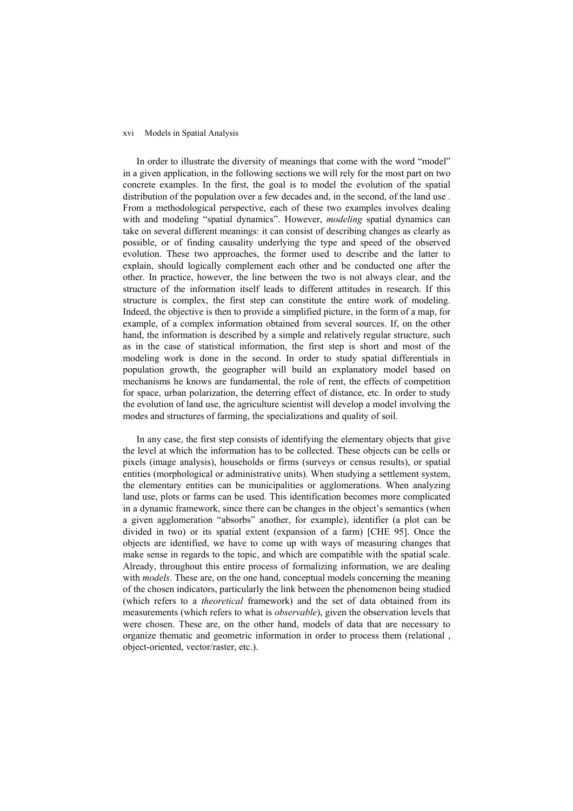## xvi Models in Spatial Analysis

In order to illustrate the diversity of meanings that come with the word "model" in a given application, in the following sections we will rely for the most part on two concrete examples. In the first, the goal is to model the evolution of the spatial distribution of the population over a few decades and, in the second, of the land use . From a methodological perspective, each of these two examples involves dealing with and modeling "spatial dynamics". However, *modeling* spatial dynamics can take on several different meanings: it can consist of describing changes as clearly as possible, or of finding causality underlying the type and speed of the observed evolution. These two approaches, the former used to describe and the latter to explain, should logically complement each other and be conducted one after the other. In practice, however, the line between the two is not always clear, and the structure of the information itself leads to different attitudes in research. If this structure is complex, the first step can constitute the entire work of modeling. Indeed, the objective is then to provide a simplified picture, in the form of a map, for example, of a complex information obtained from several sources. If, on the other hand, the information is described by a simple and relatively regular structure, such as in the case of statistical information, the first step is short and most of the modeling work is done in the second. In order to study spatial differentials in population growth, the geographer will build an explanatory model based on mechanisms he knows are fundamental, the role of rent, the effects of competition for space, urban polarization, the deterring effect of distance, etc. In order to study the evolution of land use, the agriculture scientist will develop a model involving the modes and structures of farming, the specializations and quality of soil.

In any case, the first step consists of identifying the elementary objects that give the level at which the information has to be collected. These objects can be cells or pixels (image analysis), households or firms (surveys or census results), or spatial entities (morphological or administrative units). When studying a settlement system, the elementary entities can be municipalities or agglomerations. When analyzing land use, plots or farms can be used. This identification becomes more complicated in a dynamic framework, since there can be changes in the object's semantics (when a given agglomeration "absorbs" another, for example), identifier (a plot can be divided in two) or its spatial extent (expansion of a farm) [CHE 95]. Once the objects are identified, we have to come up with ways of measuring changes that make sense in regards to the topic, and which are compatible with the spatial scale. Already, throughout this entire process of formalizing information, we are dealing with *models*. These are, on the one hand, conceptual models concerning the meaning of the chosen indicators, particularly the link between the phenomenon being studied (which refers to a *theoretical* framework) and the set of data obtained from its measurements (which refers to what is *observable*), given the observation levels that were chosen. These are, on the other hand, models of data that are necessary to organize thematic and geometric information in order to process them (relational , object-oriented, vector/raster, etc.).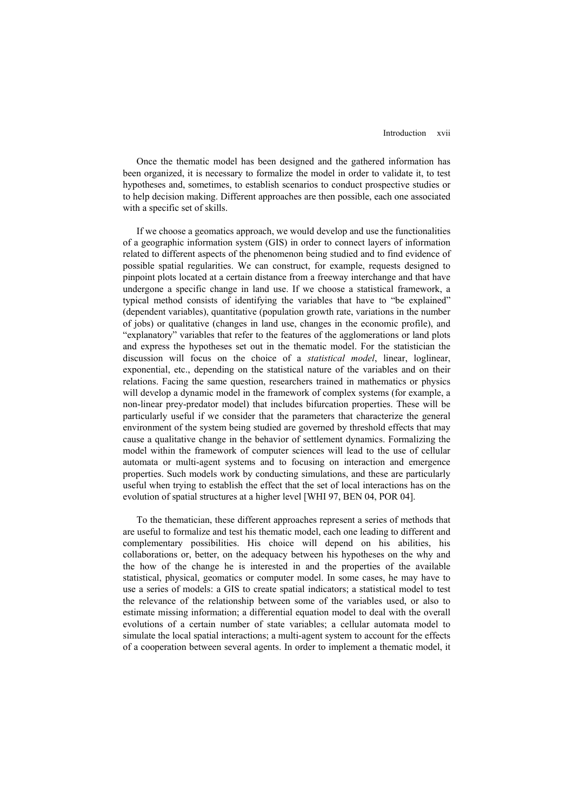Once the thematic model has been designed and the gathered information has been organized, it is necessary to formalize the model in order to validate it, to test hypotheses and, sometimes, to establish scenarios to conduct prospective studies or to help decision making. Different approaches are then possible, each one associated with a specific set of skills.

If we choose a geomatics approach, we would develop and use the functionalities of a geographic information system (GIS) in order to connect layers of information related to different aspects of the phenomenon being studied and to find evidence of possible spatial regularities. We can construct, for example, requests designed to pinpoint plots located at a certain distance from a freeway interchange and that have undergone a specific change in land use. If we choose a statistical framework, a typical method consists of identifying the variables that have to "be explained" (dependent variables), quantitative (population growth rate, variations in the number of jobs) or qualitative (changes in land use, changes in the economic profile), and "explanatory" variables that refer to the features of the agglomerations or land plots and express the hypotheses set out in the thematic model. For the statistician the discussion will focus on the choice of a *statistical model*, linear, loglinear, exponential, etc., depending on the statistical nature of the variables and on their relations. Facing the same question, researchers trained in mathematics or physics will develop a dynamic model in the framework of complex systems (for example, a non-linear prey-predator model) that includes bifurcation properties. These will be particularly useful if we consider that the parameters that characterize the general environment of the system being studied are governed by threshold effects that may cause a qualitative change in the behavior of settlement dynamics. Formalizing the model within the framework of computer sciences will lead to the use of cellular automata or multi-agent systems and to focusing on interaction and emergence properties. Such models work by conducting simulations, and these are particularly useful when trying to establish the effect that the set of local interactions has on the evolution of spatial structures at a higher level [WHI 97, BEN 04, POR 04].

To the thematician, these different approaches represent a series of methods that are useful to formalize and test his thematic model, each one leading to different and complementary possibilities. His choice will depend on his abilities, his collaborations or, better, on the adequacy between his hypotheses on the why and the how of the change he is interested in and the properties of the available statistical, physical, geomatics or computer model. In some cases, he may have to use a series of models: a GIS to create spatial indicators; a statistical model to test the relevance of the relationship between some of the variables used, or also to estimate missing information; a differential equation model to deal with the overall evolutions of a certain number of state variables; a cellular automata model to simulate the local spatial interactions; a multi-agent system to account for the effects of a cooperation between several agents. In order to implement a thematic model, it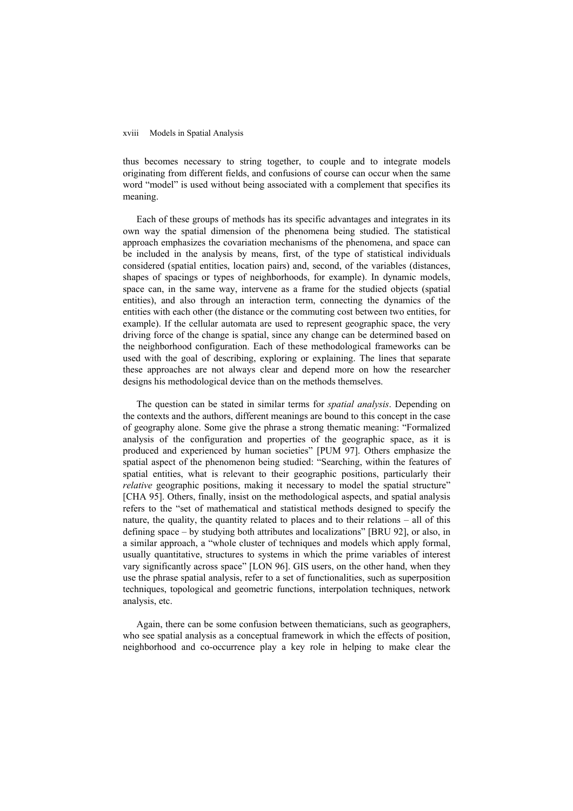#### xviii Models in Spatial Analysis

thus becomes necessary to string together, to couple and to integrate models originating from different fields, and confusions of course can occur when the same word "model" is used without being associated with a complement that specifies its meaning.

Each of these groups of methods has its specific advantages and integrates in its own way the spatial dimension of the phenomena being studied. The statistical approach emphasizes the covariation mechanisms of the phenomena, and space can be included in the analysis by means, first, of the type of statistical individuals considered (spatial entities, location pairs) and, second, of the variables (distances, shapes of spacings or types of neighborhoods, for example). In dynamic models, space can, in the same way, intervene as a frame for the studied objects (spatial entities), and also through an interaction term, connecting the dynamics of the entities with each other (the distance or the commuting cost between two entities, for example). If the cellular automata are used to represent geographic space, the very driving force of the change is spatial, since any change can be determined based on the neighborhood configuration. Each of these methodological frameworks can be used with the goal of describing, exploring or explaining. The lines that separate these approaches are not always clear and depend more on how the researcher designs his methodological device than on the methods themselves.

The question can be stated in similar terms for *spatial analysis*. Depending on the contexts and the authors, different meanings are bound to this concept in the case of geography alone. Some give the phrase a strong thematic meaning: "Formalized analysis of the configuration and properties of the geographic space, as it is produced and experienced by human societies" [PUM 97]. Others emphasize the spatial aspect of the phenomenon being studied: "Searching, within the features of spatial entities, what is relevant to their geographic positions, particularly their *relative* geographic positions, making it necessary to model the spatial structure" [CHA 95]. Others, finally, insist on the methodological aspects, and spatial analysis refers to the "set of mathematical and statistical methods designed to specify the nature, the quality, the quantity related to places and to their relations – all of this defining space – by studying both attributes and localizations" [BRU 92], or also, in a similar approach, a "whole cluster of techniques and models which apply formal, usually quantitative, structures to systems in which the prime variables of interest vary significantly across space" [LON 96]. GIS users, on the other hand, when they use the phrase spatial analysis, refer to a set of functionalities, such as superposition techniques, topological and geometric functions, interpolation techniques, network analysis, etc.

Again, there can be some confusion between thematicians, such as geographers, who see spatial analysis as a conceptual framework in which the effects of position, neighborhood and co-occurrence play a key role in helping to make clear the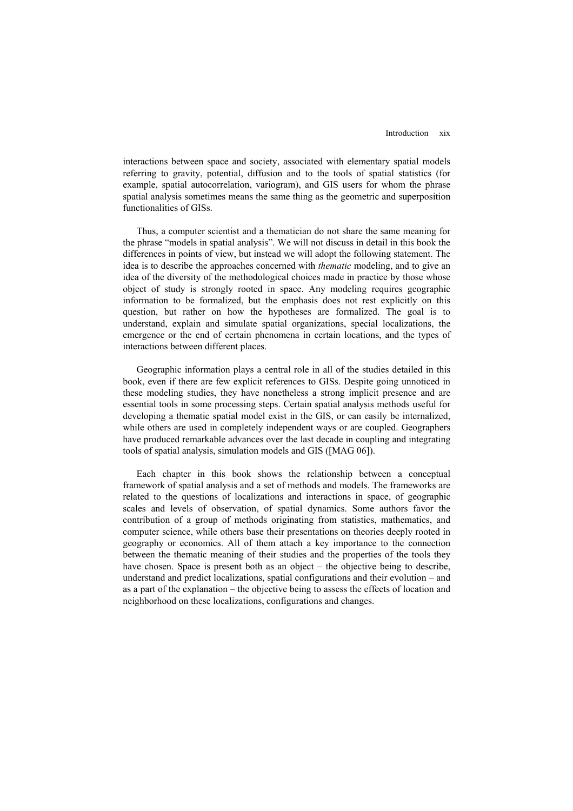interactions between space and society, associated with elementary spatial models referring to gravity, potential, diffusion and to the tools of spatial statistics (for example, spatial autocorrelation, variogram), and GIS users for whom the phrase spatial analysis sometimes means the same thing as the geometric and superposition functionalities of GISs.

Thus, a computer scientist and a thematician do not share the same meaning for the phrase "models in spatial analysis". We will not discuss in detail in this book the differences in points of view, but instead we will adopt the following statement. The idea is to describe the approaches concerned with *thematic* modeling, and to give an idea of the diversity of the methodological choices made in practice by those whose object of study is strongly rooted in space. Any modeling requires geographic information to be formalized, but the emphasis does not rest explicitly on this question, but rather on how the hypotheses are formalized. The goal is to understand, explain and simulate spatial organizations, special localizations, the emergence or the end of certain phenomena in certain locations, and the types of interactions between different places.

Geographic information plays a central role in all of the studies detailed in this book, even if there are few explicit references to GISs. Despite going unnoticed in these modeling studies, they have nonetheless a strong implicit presence and are essential tools in some processing steps. Certain spatial analysis methods useful for developing a thematic spatial model exist in the GIS, or can easily be internalized, while others are used in completely independent ways or are coupled. Geographers have produced remarkable advances over the last decade in coupling and integrating tools of spatial analysis, simulation models and GIS ([MAG 06]).

Each chapter in this book shows the relationship between a conceptual framework of spatial analysis and a set of methods and models. The frameworks are related to the questions of localizations and interactions in space, of geographic scales and levels of observation, of spatial dynamics. Some authors favor the contribution of a group of methods originating from statistics, mathematics, and computer science, while others base their presentations on theories deeply rooted in geography or economics. All of them attach a key importance to the connection between the thematic meaning of their studies and the properties of the tools they have chosen. Space is present both as an object – the objective being to describe, understand and predict localizations, spatial configurations and their evolution – and as a part of the explanation – the objective being to assess the effects of location and neighborhood on these localizations, configurations and changes.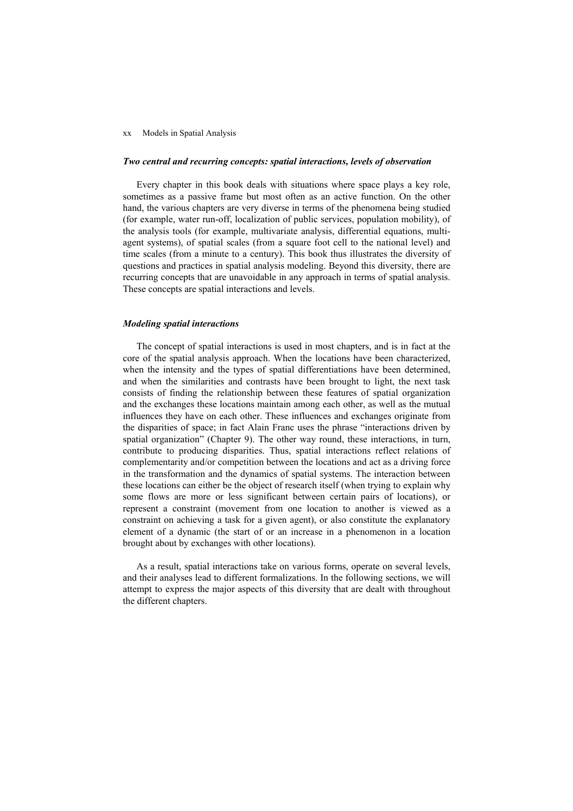### xx Models in Spatial Analysis

#### *Two central and recurring concepts: spatial interactions, levels of observation*

Every chapter in this book deals with situations where space plays a key role, sometimes as a passive frame but most often as an active function. On the other hand, the various chapters are very diverse in terms of the phenomena being studied (for example, water run-off, localization of public services, population mobility), of the analysis tools (for example, multivariate analysis, differential equations, multiagent systems), of spatial scales (from a square foot cell to the national level) and time scales (from a minute to a century). This book thus illustrates the diversity of questions and practices in spatial analysis modeling. Beyond this diversity, there are recurring concepts that are unavoidable in any approach in terms of spatial analysis. These concepts are spatial interactions and levels.

## *Modeling spatial interactions*

The concept of spatial interactions is used in most chapters, and is in fact at the core of the spatial analysis approach. When the locations have been characterized, when the intensity and the types of spatial differentiations have been determined, and when the similarities and contrasts have been brought to light, the next task consists of finding the relationship between these features of spatial organization and the exchanges these locations maintain among each other, as well as the mutual influences they have on each other. These influences and exchanges originate from the disparities of space; in fact Alain Franc uses the phrase "interactions driven by spatial organization" (Chapter 9). The other way round, these interactions, in turn, contribute to producing disparities. Thus, spatial interactions reflect relations of complementarity and/or competition between the locations and act as a driving force in the transformation and the dynamics of spatial systems. The interaction between these locations can either be the object of research itself (when trying to explain why some flows are more or less significant between certain pairs of locations), or represent a constraint (movement from one location to another is viewed as a constraint on achieving a task for a given agent), or also constitute the explanatory element of a dynamic (the start of or an increase in a phenomenon in a location brought about by exchanges with other locations).

As a result, spatial interactions take on various forms, operate on several levels, and their analyses lead to different formalizations. In the following sections, we will attempt to express the major aspects of this diversity that are dealt with throughout the different chapters.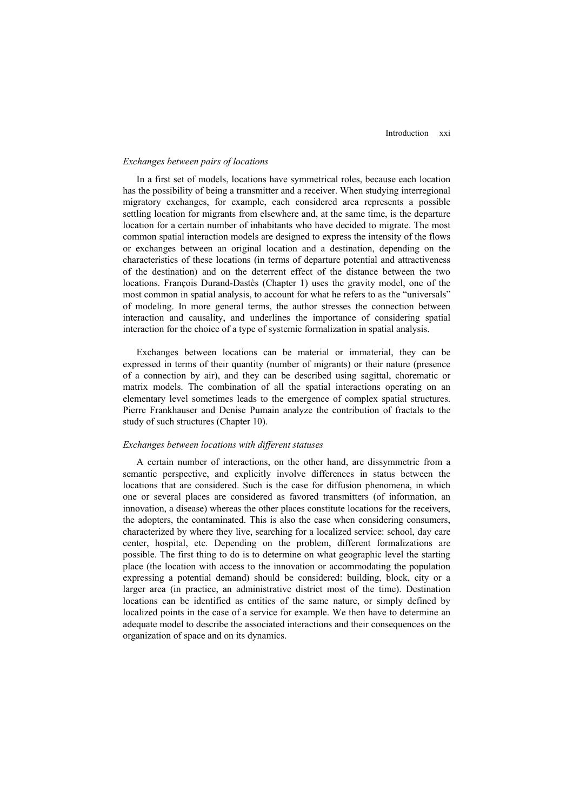## *Exchanges between pairs of locations*

In a first set of models, locations have symmetrical roles, because each location has the possibility of being a transmitter and a receiver. When studying interregional migratory exchanges, for example, each considered area represents a possible settling location for migrants from elsewhere and, at the same time, is the departure location for a certain number of inhabitants who have decided to migrate. The most common spatial interaction models are designed to express the intensity of the flows or exchanges between an original location and a destination, depending on the characteristics of these locations (in terms of departure potential and attractiveness of the destination) and on the deterrent effect of the distance between the two locations. François Durand-Dastès (Chapter 1) uses the gravity model, one of the most common in spatial analysis, to account for what he refers to as the "universals" of modeling. In more general terms, the author stresses the connection between interaction and causality, and underlines the importance of considering spatial interaction for the choice of a type of systemic formalization in spatial analysis.

Exchanges between locations can be material or immaterial, they can be expressed in terms of their quantity (number of migrants) or their nature (presence of a connection by air), and they can be described using sagittal, chorematic or matrix models. The combination of all the spatial interactions operating on an elementary level sometimes leads to the emergence of complex spatial structures. Pierre Frankhauser and Denise Pumain analyze the contribution of fractals to the study of such structures (Chapter 10).

#### *Exchanges between locations with different statuses*

A certain number of interactions, on the other hand, are dissymmetric from a semantic perspective, and explicitly involve differences in status between the locations that are considered. Such is the case for diffusion phenomena, in which one or several places are considered as favored transmitters (of information, an innovation, a disease) whereas the other places constitute locations for the receivers, the adopters, the contaminated. This is also the case when considering consumers, characterized by where they live, searching for a localized service: school, day care center, hospital, etc. Depending on the problem, different formalizations are possible. The first thing to do is to determine on what geographic level the starting place (the location with access to the innovation or accommodating the population expressing a potential demand) should be considered: building, block, city or a larger area (in practice, an administrative district most of the time). Destination locations can be identified as entities of the same nature, or simply defined by localized points in the case of a service for example. We then have to determine an adequate model to describe the associated interactions and their consequences on the organization of space and on its dynamics.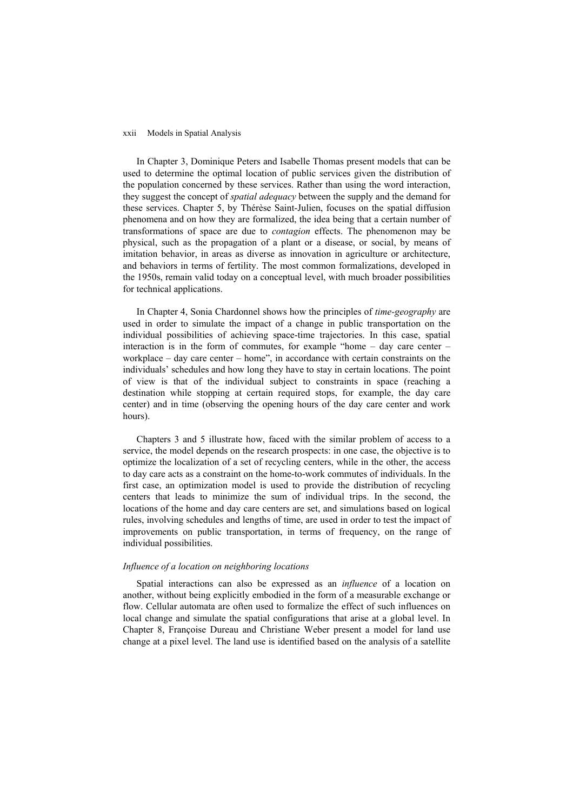## xxii Models in Spatial Analysis

In Chapter 3, Dominique Peters and Isabelle Thomas present models that can be used to determine the optimal location of public services given the distribution of the population concerned by these services. Rather than using the word interaction, they suggest the concept of *spatial adequacy* between the supply and the demand for these services. Chapter 5, by Thérèse Saint-Julien, focuses on the spatial diffusion phenomena and on how they are formalized, the idea being that a certain number of transformations of space are due to *contagion* effects. The phenomenon may be physical, such as the propagation of a plant or a disease, or social, by means of imitation behavior, in areas as diverse as innovation in agriculture or architecture, and behaviors in terms of fertility. The most common formalizations, developed in the 1950s, remain valid today on a conceptual level, with much broader possibilities for technical applications.

In Chapter 4, Sonia Chardonnel shows how the principles of *time-geography* are used in order to simulate the impact of a change in public transportation on the individual possibilities of achieving space-time trajectories. In this case, spatial interaction is in the form of commutes, for example "home – day care center – workplace – day care center – home", in accordance with certain constraints on the individuals' schedules and how long they have to stay in certain locations. The point of view is that of the individual subject to constraints in space (reaching a destination while stopping at certain required stops, for example, the day care center) and in time (observing the opening hours of the day care center and work hours).

Chapters 3 and 5 illustrate how, faced with the similar problem of access to a service, the model depends on the research prospects: in one case, the objective is to optimize the localization of a set of recycling centers, while in the other, the access to day care acts as a constraint on the home-to-work commutes of individuals. In the first case, an optimization model is used to provide the distribution of recycling centers that leads to minimize the sum of individual trips. In the second, the locations of the home and day care centers are set, and simulations based on logical rules, involving schedules and lengths of time, are used in order to test the impact of improvements on public transportation, in terms of frequency, on the range of individual possibilities.

#### *Influence of a location on neighboring locations*

Spatial interactions can also be expressed as an *influence* of a location on another, without being explicitly embodied in the form of a measurable exchange or flow. Cellular automata are often used to formalize the effect of such influences on local change and simulate the spatial configurations that arise at a global level. In Chapter 8, Françoise Dureau and Christiane Weber present a model for land use change at a pixel level. The land use is identified based on the analysis of a satellite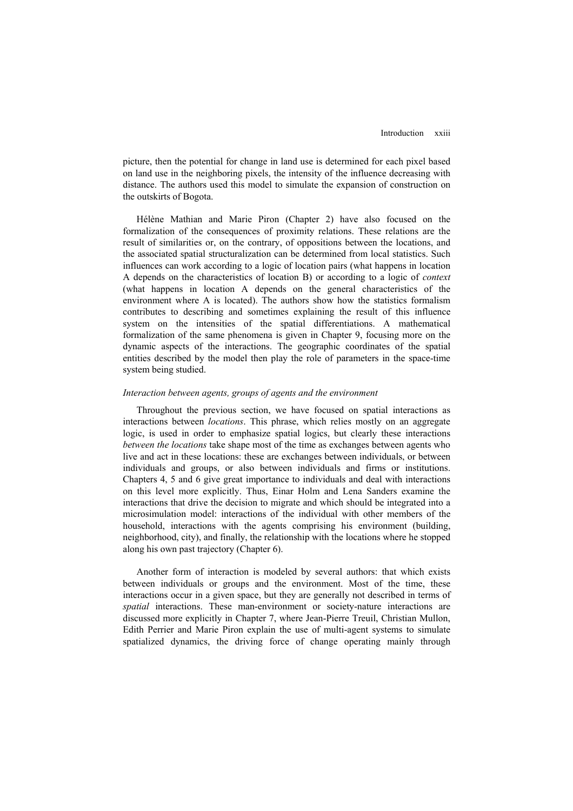picture, then the potential for change in land use is determined for each pixel based on land use in the neighboring pixels, the intensity of the influence decreasing with distance. The authors used this model to simulate the expansion of construction on the outskirts of Bogota.

Hélène Mathian and Marie Piron (Chapter 2) have also focused on the formalization of the consequences of proximity relations. These relations are the result of similarities or, on the contrary, of oppositions between the locations, and the associated spatial structuralization can be determined from local statistics. Such influences can work according to a logic of location pairs (what happens in location A depends on the characteristics of location B) or according to a logic of *context* (what happens in location A depends on the general characteristics of the environment where A is located). The authors show how the statistics formalism contributes to describing and sometimes explaining the result of this influence system on the intensities of the spatial differentiations. A mathematical formalization of the same phenomena is given in Chapter 9, focusing more on the dynamic aspects of the interactions. The geographic coordinates of the spatial entities described by the model then play the role of parameters in the space-time system being studied.

## *Interaction between agents, groups of agents and the environment*

Throughout the previous section, we have focused on spatial interactions as interactions between *locations*. This phrase, which relies mostly on an aggregate logic, is used in order to emphasize spatial logics, but clearly these interactions *between the locations* take shape most of the time as exchanges between agents who live and act in these locations: these are exchanges between individuals, or between individuals and groups, or also between individuals and firms or institutions. Chapters 4, 5 and 6 give great importance to individuals and deal with interactions on this level more explicitly. Thus, Einar Holm and Lena Sanders examine the interactions that drive the decision to migrate and which should be integrated into a microsimulation model: interactions of the individual with other members of the household, interactions with the agents comprising his environment (building, neighborhood, city), and finally, the relationship with the locations where he stopped along his own past trajectory (Chapter 6).

Another form of interaction is modeled by several authors: that which exists between individuals or groups and the environment. Most of the time, these interactions occur in a given space, but they are generally not described in terms of *spatial* interactions. These man-environment or society-nature interactions are discussed more explicitly in Chapter 7, where Jean-Pierre Treuil, Christian Mullon, Edith Perrier and Marie Piron explain the use of multi-agent systems to simulate spatialized dynamics, the driving force of change operating mainly through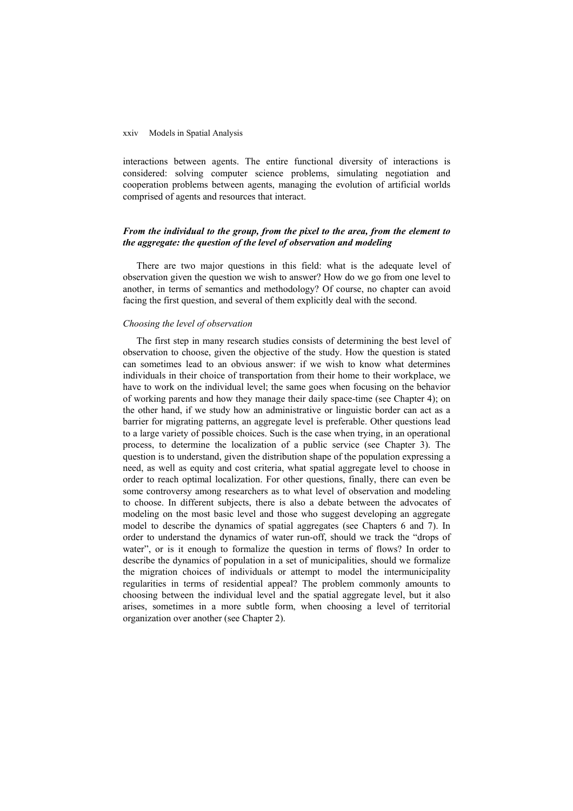## xxiv Models in Spatial Analysis

interactions between agents. The entire functional diversity of interactions is considered: solving computer science problems, simulating negotiation and cooperation problems between agents, managing the evolution of artificial worlds comprised of agents and resources that interact.

# *From the individual to the group, from the pixel to the area, from the element to the aggregate: the question of the level of observation and modeling*

There are two major questions in this field: what is the adequate level of observation given the question we wish to answer? How do we go from one level to another, in terms of semantics and methodology? Of course, no chapter can avoid facing the first question, and several of them explicitly deal with the second.

## *Choosing the level of observation*

The first step in many research studies consists of determining the best level of observation to choose, given the objective of the study. How the question is stated can sometimes lead to an obvious answer: if we wish to know what determines individuals in their choice of transportation from their home to their workplace, we have to work on the individual level; the same goes when focusing on the behavior of working parents and how they manage their daily space-time (see Chapter 4); on the other hand, if we study how an administrative or linguistic border can act as a barrier for migrating patterns, an aggregate level is preferable. Other questions lead to a large variety of possible choices. Such is the case when trying, in an operational process, to determine the localization of a public service (see Chapter 3). The question is to understand, given the distribution shape of the population expressing a need, as well as equity and cost criteria, what spatial aggregate level to choose in order to reach optimal localization. For other questions, finally, there can even be some controversy among researchers as to what level of observation and modeling to choose. In different subjects, there is also a debate between the advocates of modeling on the most basic level and those who suggest developing an aggregate model to describe the dynamics of spatial aggregates (see Chapters 6 and 7). In order to understand the dynamics of water run-off, should we track the "drops of water", or is it enough to formalize the question in terms of flows? In order to describe the dynamics of population in a set of municipalities, should we formalize the migration choices of individuals or attempt to model the intermunicipality regularities in terms of residential appeal? The problem commonly amounts to choosing between the individual level and the spatial aggregate level, but it also arises, sometimes in a more subtle form, when choosing a level of territorial organization over another (see Chapter 2).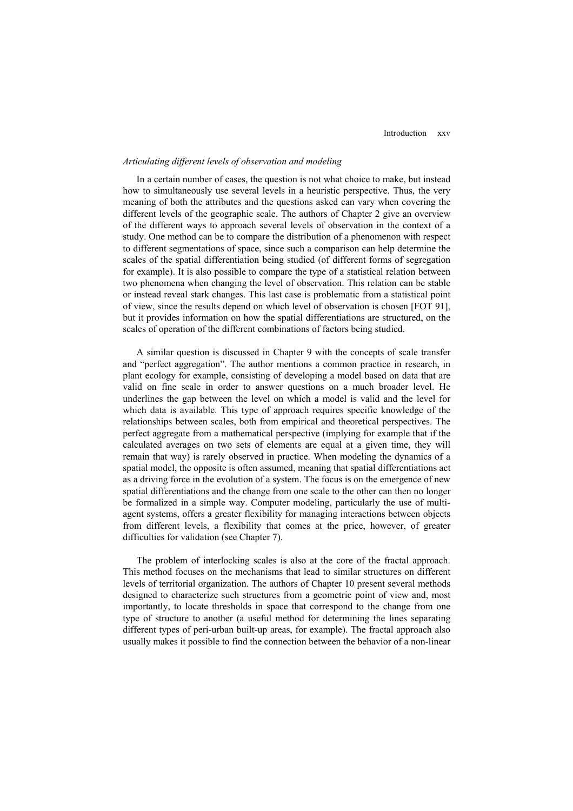#### *Articulating different levels of observation and modeling*

In a certain number of cases, the question is not what choice to make, but instead how to simultaneously use several levels in a heuristic perspective. Thus, the very meaning of both the attributes and the questions asked can vary when covering the different levels of the geographic scale. The authors of Chapter 2 give an overview of the different ways to approach several levels of observation in the context of a study. One method can be to compare the distribution of a phenomenon with respect to different segmentations of space, since such a comparison can help determine the scales of the spatial differentiation being studied (of different forms of segregation for example). It is also possible to compare the type of a statistical relation between two phenomena when changing the level of observation. This relation can be stable or instead reveal stark changes. This last case is problematic from a statistical point of view, since the results depend on which level of observation is chosen [FOT 91], but it provides information on how the spatial differentiations are structured, on the scales of operation of the different combinations of factors being studied.

A similar question is discussed in Chapter 9 with the concepts of scale transfer and "perfect aggregation". The author mentions a common practice in research, in plant ecology for example, consisting of developing a model based on data that are valid on fine scale in order to answer questions on a much broader level. He underlines the gap between the level on which a model is valid and the level for which data is available. This type of approach requires specific knowledge of the relationships between scales, both from empirical and theoretical perspectives. The perfect aggregate from a mathematical perspective (implying for example that if the calculated averages on two sets of elements are equal at a given time, they will remain that way) is rarely observed in practice. When modeling the dynamics of a spatial model, the opposite is often assumed, meaning that spatial differentiations act as a driving force in the evolution of a system. The focus is on the emergence of new spatial differentiations and the change from one scale to the other can then no longer be formalized in a simple way. Computer modeling, particularly the use of multiagent systems, offers a greater flexibility for managing interactions between objects from different levels, a flexibility that comes at the price, however, of greater difficulties for validation (see Chapter 7).

The problem of interlocking scales is also at the core of the fractal approach. This method focuses on the mechanisms that lead to similar structures on different levels of territorial organization. The authors of Chapter 10 present several methods designed to characterize such structures from a geometric point of view and, most importantly, to locate thresholds in space that correspond to the change from one type of structure to another (a useful method for determining the lines separating different types of peri-urban built-up areas, for example). The fractal approach also usually makes it possible to find the connection between the behavior of a non-linear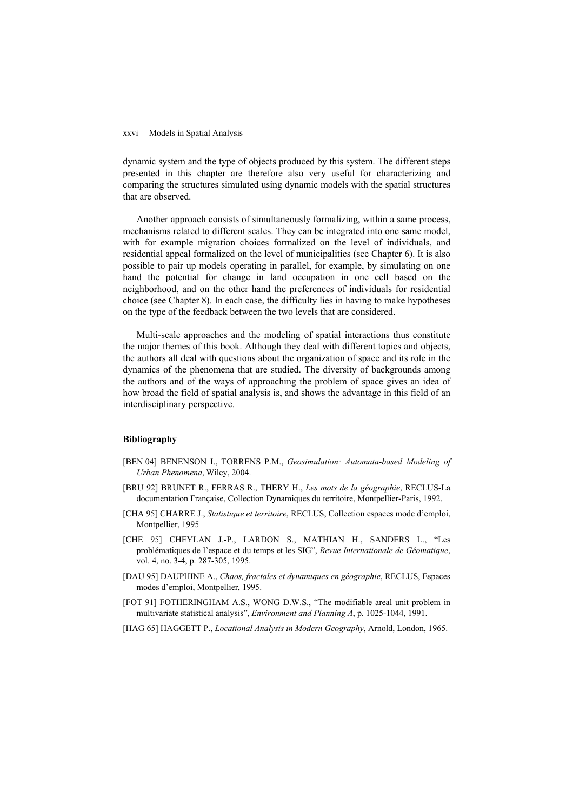#### xxvi Models in Spatial Analysis

dynamic system and the type of objects produced by this system. The different steps presented in this chapter are therefore also very useful for characterizing and comparing the structures simulated using dynamic models with the spatial structures that are observed.

Another approach consists of simultaneously formalizing, within a same process, mechanisms related to different scales. They can be integrated into one same model, with for example migration choices formalized on the level of individuals, and residential appeal formalized on the level of municipalities (see Chapter 6). It is also possible to pair up models operating in parallel, for example, by simulating on one hand the potential for change in land occupation in one cell based on the neighborhood, and on the other hand the preferences of individuals for residential choice (see Chapter 8). In each case, the difficulty lies in having to make hypotheses on the type of the feedback between the two levels that are considered.

Multi-scale approaches and the modeling of spatial interactions thus constitute the major themes of this book. Although they deal with different topics and objects, the authors all deal with questions about the organization of space and its role in the dynamics of the phenomena that are studied. The diversity of backgrounds among the authors and of the ways of approaching the problem of space gives an idea of how broad the field of spatial analysis is, and shows the advantage in this field of an interdisciplinary perspective.

# **Bibliography**

- [BEN 04] BENENSON I., TORRENS P.M., *Geosimulation: Automata-based Modeling of Urban Phenomena*, Wiley, 2004.
- [BRU 92] BRUNET R., FERRAS R., THERY H., *Les mots de la géographie*, RECLUS-La documentation Française, Collection Dynamiques du territoire, Montpellier-Paris, 1992.
- [CHA 95] CHARRE J., *Statistique et territoire*, RECLUS, Collection espaces mode d'emploi, Montpellier, 1995
- [CHE 95] CHEYLAN J.-P., LARDON S., MATHIAN H., SANDERS L., "Les problématiques de l'espace et du temps et les SIG", *Revue Internationale de Géomatique*, vol. 4, no. 3-4, p. 287-305, 1995.
- [DAU 95] DAUPHINE A., *Chaos, fractales et dynamiques en géographie*, RECLUS, Espaces modes d'emploi, Montpellier, 1995.
- [FOT 91] FOTHERINGHAM A.S., WONG D.W.S., "The modifiable areal unit problem in multivariate statistical analysis", *Environment and Planning A*, p. 1025-1044, 1991.
- [HAG 65] HAGGETT P., *Locational Analysis in Modern Geography*, Arnold, London, 1965.